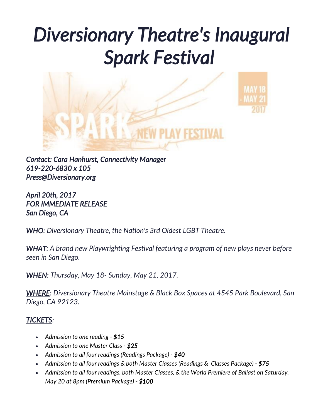# *Diversionary Theatre's Inaugural Spark Festival*



*Contact: Cara Hanhurst, Connectivity Manager 619-220-6830 x 105 Press@Diversionary.org* 

*April 20th, 2017 FOR IMMEDIATE RELEASE San Diego, CA* 

*WHO: Diversionary Theatre, the Nation's 3rd Oldest LGBT Theatre.*

*WHAT: A brand new Playwrighting Festival featuring a program of new plays never before seen in San Diego.*

*WHEN: Thursday, May 18- Sunday, May 21, 2017.*

*WHERE: Diversionary Theatre Mainstage & Black Box Spaces at 4545 Park Boulevard, San Diego, CA 92123.*

#### *TICKETS:*

- *Admission to one reading \$15*
- *Admission to one Master Class - \$25*
- *Admission to all four readings (Readings Package) - \$40*
- *Admission to all four readings & both Master Classes (Readings & Classes Package) - \$75*
- *Admission to all four readings, both Master Classes, & the World Premiere of Ballast on Saturday, May 20 at 8pm (Premium Package) - \$100*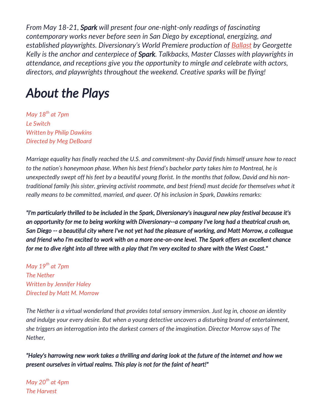*From May 18-21, Spark will present four one-night-only readings of fascinating contemporary works never before seen in San Diego by exceptional, energizing, and established playwrights. Diversionary's World Premiere production of [Ballast](http://www.diversionary.org/ballast) by Georgette Kelly is the anchor and centerpiece of Spark. Talkbacks, Master Classes with playwrights in attendance, and receptions give you the opportunity to mingle and celebrate with actors, directors, and playwrights throughout the weekend. Creative sparks will be flying!*

### *About the Plays*

*May 18th at 7pm Le Switch Written by Philip Dawkins Directed by Meg DeBoard*

*Marriage equality has finally reached the U.S. and commitment-shy David finds himself unsure how to react to the nation's honeymoon phase. When his best friend's bachelor party takes him to Montreal, he is unexpectedly swept off his feet by a beautiful young florist. In the months that follow, David and his nontraditional family (his sister, grieving activist roommate, and best friend) must decide for themselves what it really means to be committed, married, and queer. Of his inclusion in Spark, Dawkins remarks:*

*"I'm particularly thrilled to be included in the Spark, Diversionary's inaugural new play festival because it's an opportunity for me to being working with Diversionary--a company I've long had a theatrical crush on, San Diego -- a beautiful city where I've not yet had the pleasure of working, and Matt Morrow, a colleague and friend who I'm excited to work with on a more one-on-one level. The Spark offers an excellent chance for me to dive right into all three with a play that I'm very excited to share with the West Coast."* 

*May 19th at 7pm The Nether Written by Jennifer Haley Directed by Matt M. Morrow*

*The Nether is a virtual wonderland that provides total sensory immersion. Just log in, choose an identity and indulge your every desire. But when a young detective uncovers a disturbing brand of entertainment, she triggers an interrogation into the darkest corners of the imagination. Director Morrow says of The Nether,*

*"Haley's harrowing new work takes a thrilling and daring look at the future of the internet and how we present ourselves in virtual realms. This play is not for the faint of heart!"*

*May 20th at 4pm The Harvest*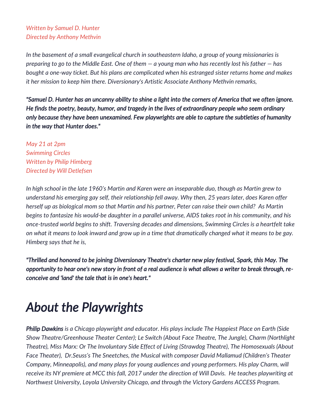#### *Written by Samuel D. Hunter Directed by Anthony Methvin*

*In the basement of a small evangelical church in southeastern Idaho, a group of young missionaries is preparing to go to the Middle East. One of them — a young man who has recently lost his father — has bought a one-way ticket. But his plans are complicated when his estranged sister returns home and makes it her mission to keep him there. Diversionary's Artistic Associate Anthony Methvin remarks,*

*"Samuel D. Hunter has an uncanny ability to shine a light into the corners of America that we often ignore. He finds the poetry, beauty, humor, and tragedy in the lives of extraordinary people who seem ordinary only because they have been unexamined. Few playwrights are able to capture the subtleties of humanity in the way that Hunter does."*

*May 21 at 2pm Swimming Circles Written by Philip Himberg Directed by Will Detlefsen*

*In high school in the late 1960's Martin and Karen were an inseparable duo, though as Martin grew to understand his emerging gay self, their relationship fell away. Why then, 25 years later, does Karen offer herself up as biological mom so that Martin and his partner, Peter can raise their own child? As Martin begins to fantasize his would-be daughter in a parallel universe, AIDS takes root in his community, and his once-trusted world begins to shift. Traversing decades and dimensions, Swimming Circles is a heartfelt take on what it means to look inward and grow up in a time that dramatically changed what it means to be gay. Himberg says that he is,*

*"Thrilled and honored to be joining Diversionary Theatre's charter new play festival, Spark, this May. The opportunity to hear one's new story in front of a real audience is what allows a writer to break through, reconceive and 'land' the tale that is in one's heart."* 

# *About the Playwrights*

*Philip Dawkins is a Chicago playwright and educator. His plays include The Happiest Place on Earth (Side Show Theatre/Greenhouse Theater Center); Le Switch (About Face Theatre, The Jungle), Charm (Northlight Theatre), Miss Marx: Or The Involuntary Side Effect of Living (Strawdog Theatre), The Homosexuals (About Face Theater), Dr.Seuss's The Sneetches, the Musical with composer David Mallamud (Children's Theater Company, Minneapolis), and many plays for young audiences and young performers. His play Charm, will receive its NY premiere at MCC this fall, 2017 under the direction of Will Davis. He teaches playwriting at Northwest University, Loyola University Chicago, and through the Victory Gardens ACCESS Program.*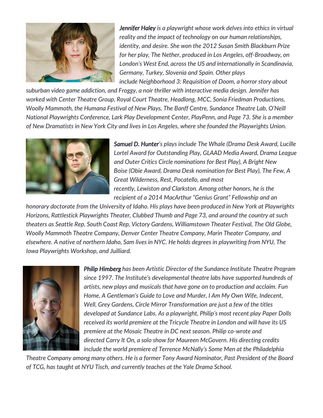

*Jennifer Haley is a playwright whose work delves into ethics in virtual reality and the impact of technology on our human relationships, identity, and desire. She won the 2012 Susan Smith Blackburn Prize for her play, The Nether, produced in Los Angeles, off-Broadway, on London's West End, across the US and internationally in Scandinavia, Germany, Turkey, Slovenia and Spain. Other plays include Neighborhood 3: Requisition of Doom, a horror story about* 

*suburban video game addiction, and Froggy, a noir thriller with interactive media design. Jennifer has worked with Center Theatre Group, Royal Court Theatre, Headlong, MCC, Sonia Friedman Productions, Woolly Mammoth, the Humana Festival of New Plays, The Banff Centre, Sundance Theatre Lab, O'Neill National Playwrights Conference, Lark Play Development Center, PlayPenn, and Page 73. She is a member of New Dramatists in New York City and lives in Los Angeles, where she founded the Playwrights Union.*



*Samuel D. Hunter's plays include The Whale (Drama Desk Award, Lucille Lortel Award for Outstanding Play, GLAAD Media Award, Drama League and Outer Critics Circle nominations for Best Play), A Bright New Boise (Obie Award, Drama Desk nomination for Best Play), The Few, A Great Wilderness, Rest, Pocatello, and most recently, Lewiston and Clarkston. Among other honors, he is the recipient of a 2014 MacArthur "Genius Grant" Fellowship and an* 

*honorary doctorate from the University of Idaho. His plays have been produced in New York at Playwrights Horizons, Rattlestick Playwrights Theater, Clubbed Thumb and Page 73, and around the country at such theaters as Seattle Rep, South Coast Rep, Victory Gardens, Williamstown Theater Festival, The Old Globe, Woolly Mammoth Theatre Company, Denver Center Theatre Company, Marin Theater Company, and elsewhere. A native of northern Idaho, Sam lives in NYC. He holds degrees in playwriting from NYU, The Iowa Playwrights Workshop, and Juilliard.*



*Philip Himberg has been Artistic Director of the Sundance Institute Theatre Program since 1997. The Institute's developmental theatre labs have supported hundreds of artists, new plays and musicals that have gone on to production and acclaim. Fun Home, A Gentleman's Guide to Love and Murder, I Am My Own Wife, Indecent, Well, Grey Gardens, Circle Mirror Transformation are just a few of the titles developed at Sundance Labs. As a playwright, Philip's most recent play Paper Dolls received its world premiere at the Tricycle Theatre in London and will have its US premiere at the Mosaic Theatre in DC next season. Philip co-wrote and directed Carry It On, a solo show for Maureen McGovern. His directing credits include the world premiere of Terrence McNally's Some Men at the Philadelphia* 

*Theatre Company among many others. He is a former Tony Award Nominator, Past President of the Board of TCG, has taught at NYU Tisch, and currently teaches at the Yale Drama School.*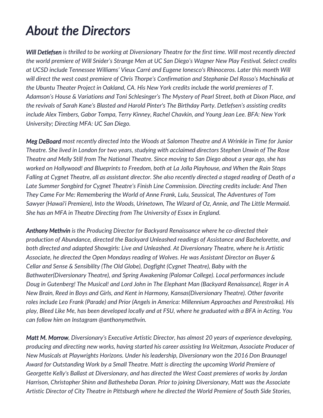# *About the Directors*

*Will Detlefsen is thrilled to be working at Diversionary Theatre for the first time. Will most recently directed the world premiere of Will Snider's Strange Men at UC San Diego's Wagner New Play Festival. Select credits at UCSD include Tennessee Williams' Vieux Carré and Eugene Ionesco's Rhinoceros. Later this month Will will direct the west coast premiere of Chris Thorpe's Confirmation and Stephanie Del Rosso's Machinalia at the Ubuntu Theater Project in Oakland, CA. His New York credits include the world premieres of T. Adamson's House & Variations and Toni Schlesinger's The Mystery of Pearl Street, both at Dixon Place, and the revivals of Sarah Kane's Blasted and Harold Pinter's The Birthday Party. Detlefsen's assisting credits include Alex Timbers, Gabor Tompa, Terry Kinney, Rachel Chavkin, and Young Jean Lee. BFA: New York University; Directing MFA: UC San Diego.*

*Meg DeBoard most recently directed Into the Woods at Salomon Theatre and A Wrinkle in Time for Junior Theatre. She lived in London for two years, studying with acclaimed directors Stephen Unwin of The Rose Theatre and Melly Still from The National Theatre. Since moving to San Diego about a year ago, she has worked on Hollywood! and Blueprints to Freedom, both at La Jolla Playhouse, and When the Rain Stops Falling at Cygnet Theatre, all as assistant director. She also recently directed a staged reading of Death of a Late Summer Songbird for Cygnet Theatre's Finish Line Commission. Directing credits include: And Then They Came For Me: Remembering the World of Anne Frank, Lulu, Seussical, The Adventures of Tom Sawyer (Hawai'i Premiere), Into the Woods, Urinetown, The Wizard of Oz, Annie, and The Little Mermaid. She has an MFA in Theatre Directing from The University of Essex in England.*

*Anthony Methvin is the Producing Director for Backyard Renaissance where he co-directed their production of Abundance, directed the Backyard Unleashed readings of Assistance and Bachelorette, and both directed and adapted Showgirls: Live and Unleashed. At Diversionary Theatre, where he is Artistic Associate, he directed the Open Mondays reading of Wolves. He was Assistant Director on Buyer & Cellar and Sense & Sensibility (The Old Globe), Dogfight (Cygnet Theatre), Baby with the Bathwater(Diversionary Theatre), and Spring Awakening (Palomar College). Local performances include Doug in Gutenberg! The Musical! and Lord John in The Elephant Man (Backyard Renaissance), Roger in A New Brain, Reed in Boys and Girls, and Kent in Harmony, Kansas(Diversionary Theatre). Other favorite roles include Leo Frank (Parade) and Prior (Angels in America: Millennium Approaches and Perestroika). His play, Bleed Like Me, has been developed locally and at FSU, where he graduated with a BFA in Acting. You can follow him on Instagram @anthonymethvin.*

*Matt M. Morrow, Diversionary's Executive Artistic Director, has almost 20 years of experience developing, producing and directing new works, having started his career assisting Ira Weitzman, Associate Producer of New Musicals at Playwrights Horizons. Under his leadership, Diversionary won the 2016 Don Braunagel Award for Outstanding Work by a Small Theatre. Matt is directing the upcoming World Premiere of Georgette Kelly's Ballast at Diversionary, and has directed the West Coast premieres of works by Jordan Harrison, Christopher Shinn and Bathesheba Doran. Prior to joining Diversionary, Matt was the Associate Artistic Director of City Theatre in Pittsburgh where he directed the World Premiere of South Side Stories,*